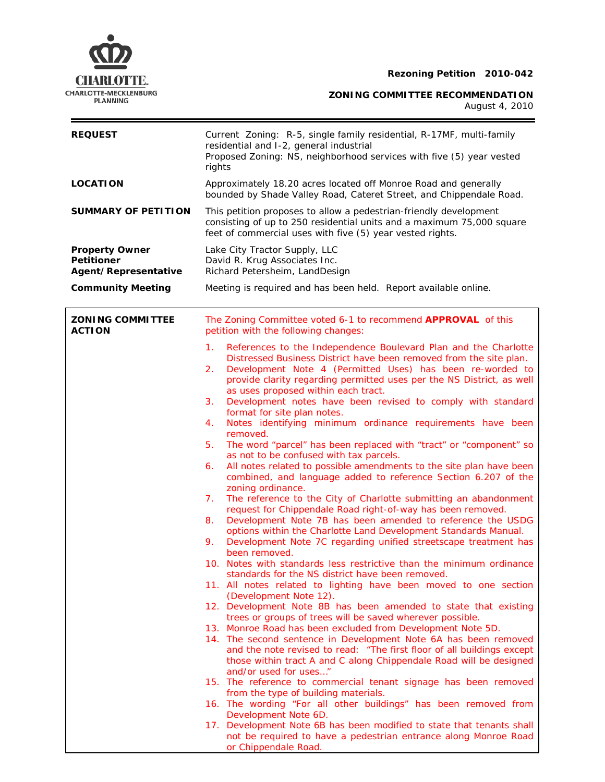# **CHARLOTTE.** Rezoning Petition 2010-042



**ZONING COMMITTEE RECOMMENDATION** 

August 4, 2010

| <b>REQUEST</b>                                                     | Current Zoning: R-5, single family residential, R-17MF, multi-family<br>residential and I-2, general industrial<br>Proposed Zoning: NS, neighborhood services with five (5) year vested<br>rights                                                                                                                                                                                                                                                                                                                                                                                                                                                                                                                                                                                                                                                                                                                                                                                                                                                                                                                                                                                                                                                                                                                                                                                                                                                                                                                                                                                                                                                                                                                                                                                                                                                                                                                                                                                                                                          |  |  |
|--------------------------------------------------------------------|--------------------------------------------------------------------------------------------------------------------------------------------------------------------------------------------------------------------------------------------------------------------------------------------------------------------------------------------------------------------------------------------------------------------------------------------------------------------------------------------------------------------------------------------------------------------------------------------------------------------------------------------------------------------------------------------------------------------------------------------------------------------------------------------------------------------------------------------------------------------------------------------------------------------------------------------------------------------------------------------------------------------------------------------------------------------------------------------------------------------------------------------------------------------------------------------------------------------------------------------------------------------------------------------------------------------------------------------------------------------------------------------------------------------------------------------------------------------------------------------------------------------------------------------------------------------------------------------------------------------------------------------------------------------------------------------------------------------------------------------------------------------------------------------------------------------------------------------------------------------------------------------------------------------------------------------------------------------------------------------------------------------------------------------|--|--|
| <b>LOCATION</b>                                                    | Approximately 18.20 acres located off Monroe Road and generally<br>bounded by Shade Valley Road, Cateret Street, and Chippendale Road.                                                                                                                                                                                                                                                                                                                                                                                                                                                                                                                                                                                                                                                                                                                                                                                                                                                                                                                                                                                                                                                                                                                                                                                                                                                                                                                                                                                                                                                                                                                                                                                                                                                                                                                                                                                                                                                                                                     |  |  |
| <b>SUMMARY OF PETITION</b>                                         | This petition proposes to allow a pedestrian-friendly development<br>consisting of up to 250 residential units and a maximum 75,000 square<br>feet of commercial uses with five (5) year vested rights.                                                                                                                                                                                                                                                                                                                                                                                                                                                                                                                                                                                                                                                                                                                                                                                                                                                                                                                                                                                                                                                                                                                                                                                                                                                                                                                                                                                                                                                                                                                                                                                                                                                                                                                                                                                                                                    |  |  |
| <b>Property Owner</b><br><b>Petitioner</b><br>Agent/Representative | Lake City Tractor Supply, LLC<br>David R. Krug Associates Inc.<br>Richard Petersheim, LandDesign                                                                                                                                                                                                                                                                                                                                                                                                                                                                                                                                                                                                                                                                                                                                                                                                                                                                                                                                                                                                                                                                                                                                                                                                                                                                                                                                                                                                                                                                                                                                                                                                                                                                                                                                                                                                                                                                                                                                           |  |  |
| <b>Community Meeting</b>                                           | Meeting is required and has been held. Report available online.                                                                                                                                                                                                                                                                                                                                                                                                                                                                                                                                                                                                                                                                                                                                                                                                                                                                                                                                                                                                                                                                                                                                                                                                                                                                                                                                                                                                                                                                                                                                                                                                                                                                                                                                                                                                                                                                                                                                                                            |  |  |
| <b>ZONING COMMITTEE</b><br><b>ACTION</b>                           | The Zoning Committee voted 6-1 to recommend <b>APPROVAL</b> of this<br>petition with the following changes:                                                                                                                                                                                                                                                                                                                                                                                                                                                                                                                                                                                                                                                                                                                                                                                                                                                                                                                                                                                                                                                                                                                                                                                                                                                                                                                                                                                                                                                                                                                                                                                                                                                                                                                                                                                                                                                                                                                                |  |  |
|                                                                    | References to the Independence Boulevard Plan and the Charlotte<br>1.<br>Distressed Business District have been removed from the site plan.<br>Development Note 4 (Permitted Uses) has been re-worded to<br>2.<br>provide clarity regarding permitted uses per the NS District, as well<br>as uses proposed within each tract.<br>Development notes have been revised to comply with standard<br>3.<br>format for site plan notes.<br>Notes identifying minimum ordinance requirements have been<br>4.<br>removed.<br>The word "parcel" has been replaced with "tract" or "component" so<br>5.<br>as not to be confused with tax parcels.<br>All notes related to possible amendments to the site plan have been<br>6.<br>combined, and language added to reference Section 6.207 of the<br>zoning ordinance.<br>The reference to the City of Charlotte submitting an abandonment<br>7.<br>request for Chippendale Road right-of-way has been removed.<br>Development Note 7B has been amended to reference the USDG<br>8.<br>options within the Charlotte Land Development Standards Manual.<br>Development Note 7C regarding unified streetscape treatment has<br>9.<br>been removed.<br>10. Notes with standards less restrictive than the minimum ordinance<br>standards for the NS district have been removed.<br>11. All notes related to lighting have been moved to one section<br>(Development Note 12).<br>12. Development Note 8B has been amended to state that existing<br>trees or groups of trees will be saved wherever possible.<br>13. Monroe Road has been excluded from Development Note 5D.<br>14. The second sentence in Development Note 6A has been removed<br>and the note revised to read: "The first floor of all buildings except<br>those within tract A and C along Chippendale Road will be designed<br>and/or used for uses"<br>15. The reference to commercial tenant signage has been removed<br>from the type of building materials.<br>16. The wording "For all other buildings" has been removed from |  |  |

- 16. The wording "For all other buildings Development Note 6D.
- 17. Development Note 6B has been modified to state that tenants shall not be required to have a pedestrian entrance along Monroe Road or Chippendale Road.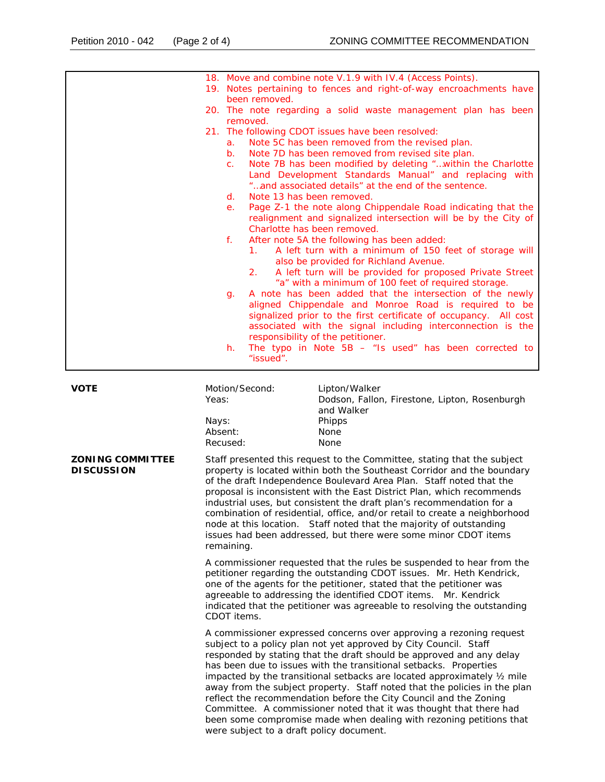|                                              |                                                                     | 18. Move and combine note V.1.9 with IV.4 (Access Points).                                                                                                                                                                                                                                                                                                                                                                                                                                                                                                                                                       |  |  |  |
|----------------------------------------------|---------------------------------------------------------------------|------------------------------------------------------------------------------------------------------------------------------------------------------------------------------------------------------------------------------------------------------------------------------------------------------------------------------------------------------------------------------------------------------------------------------------------------------------------------------------------------------------------------------------------------------------------------------------------------------------------|--|--|--|
|                                              |                                                                     | 19. Notes pertaining to fences and right-of-way encroachments have<br>been removed.                                                                                                                                                                                                                                                                                                                                                                                                                                                                                                                              |  |  |  |
|                                              |                                                                     | 20. The note regarding a solid waste management plan has been                                                                                                                                                                                                                                                                                                                                                                                                                                                                                                                                                    |  |  |  |
|                                              |                                                                     | removed.<br>21. The following CDOT issues have been resolved:                                                                                                                                                                                                                                                                                                                                                                                                                                                                                                                                                    |  |  |  |
|                                              |                                                                     | Note 5C has been removed from the revised plan.<br>а.                                                                                                                                                                                                                                                                                                                                                                                                                                                                                                                                                            |  |  |  |
|                                              |                                                                     | Note 7D has been removed from revised site plan.<br>b.                                                                                                                                                                                                                                                                                                                                                                                                                                                                                                                                                           |  |  |  |
|                                              |                                                                     | Note 7B has been modified by deleting "within the Charlotte<br>c.                                                                                                                                                                                                                                                                                                                                                                                                                                                                                                                                                |  |  |  |
|                                              |                                                                     | Land Development Standards Manual" and replacing with<br>"and associated details" at the end of the sentence.                                                                                                                                                                                                                                                                                                                                                                                                                                                                                                    |  |  |  |
|                                              |                                                                     | Note 13 has been removed.<br>d.                                                                                                                                                                                                                                                                                                                                                                                                                                                                                                                                                                                  |  |  |  |
|                                              |                                                                     | Page Z-1 the note along Chippendale Road indicating that the<br>е.                                                                                                                                                                                                                                                                                                                                                                                                                                                                                                                                               |  |  |  |
|                                              |                                                                     | realignment and signalized intersection will be by the City of                                                                                                                                                                                                                                                                                                                                                                                                                                                                                                                                                   |  |  |  |
|                                              |                                                                     | Charlotte has been removed.<br>f.<br>After note 5A the following has been added:                                                                                                                                                                                                                                                                                                                                                                                                                                                                                                                                 |  |  |  |
|                                              |                                                                     | A left turn with a minimum of 150 feet of storage will<br>1.                                                                                                                                                                                                                                                                                                                                                                                                                                                                                                                                                     |  |  |  |
|                                              |                                                                     | also be provided for Richland Avenue.                                                                                                                                                                                                                                                                                                                                                                                                                                                                                                                                                                            |  |  |  |
|                                              |                                                                     | A left turn will be provided for proposed Private Street<br>2.<br>"a" with a minimum of 100 feet of required storage.                                                                                                                                                                                                                                                                                                                                                                                                                                                                                            |  |  |  |
|                                              |                                                                     | A note has been added that the intersection of the newly<br>g.                                                                                                                                                                                                                                                                                                                                                                                                                                                                                                                                                   |  |  |  |
|                                              |                                                                     | aligned Chippendale and Monroe Road is required to be                                                                                                                                                                                                                                                                                                                                                                                                                                                                                                                                                            |  |  |  |
|                                              |                                                                     | signalized prior to the first certificate of occupancy. All cost                                                                                                                                                                                                                                                                                                                                                                                                                                                                                                                                                 |  |  |  |
|                                              |                                                                     | associated with the signal including interconnection is the<br>responsibility of the petitioner.                                                                                                                                                                                                                                                                                                                                                                                                                                                                                                                 |  |  |  |
|                                              |                                                                     | The typo in Note $5B -$ "Is used" has been corrected to<br>h.                                                                                                                                                                                                                                                                                                                                                                                                                                                                                                                                                    |  |  |  |
|                                              |                                                                     | "issued".                                                                                                                                                                                                                                                                                                                                                                                                                                                                                                                                                                                                        |  |  |  |
|                                              |                                                                     |                                                                                                                                                                                                                                                                                                                                                                                                                                                                                                                                                                                                                  |  |  |  |
| <b>VOTE</b>                                  |                                                                     | Motion/Second:<br>Lipton/Walker                                                                                                                                                                                                                                                                                                                                                                                                                                                                                                                                                                                  |  |  |  |
|                                              |                                                                     |                                                                                                                                                                                                                                                                                                                                                                                                                                                                                                                                                                                                                  |  |  |  |
|                                              | Nays:                                                               | Phipps                                                                                                                                                                                                                                                                                                                                                                                                                                                                                                                                                                                                           |  |  |  |
|                                              | Absent:                                                             | None                                                                                                                                                                                                                                                                                                                                                                                                                                                                                                                                                                                                             |  |  |  |
|                                              |                                                                     |                                                                                                                                                                                                                                                                                                                                                                                                                                                                                                                                                                                                                  |  |  |  |
| <b>ZONING COMMITTEE</b><br><b>DISCUSSION</b> |                                                                     | Staff presented this request to the Committee, stating that the subject<br>property is located within both the Southeast Corridor and the boundary                                                                                                                                                                                                                                                                                                                                                                                                                                                               |  |  |  |
|                                              |                                                                     | of the draft Independence Boulevard Area Plan. Staff noted that the                                                                                                                                                                                                                                                                                                                                                                                                                                                                                                                                              |  |  |  |
|                                              |                                                                     |                                                                                                                                                                                                                                                                                                                                                                                                                                                                                                                                                                                                                  |  |  |  |
|                                              |                                                                     |                                                                                                                                                                                                                                                                                                                                                                                                                                                                                                                                                                                                                  |  |  |  |
|                                              | node at this location. Staff noted that the majority of outstanding |                                                                                                                                                                                                                                                                                                                                                                                                                                                                                                                                                                                                                  |  |  |  |
|                                              |                                                                     | issues had been addressed, but there were some minor CDOT items<br>remaining.                                                                                                                                                                                                                                                                                                                                                                                                                                                                                                                                    |  |  |  |
|                                              |                                                                     |                                                                                                                                                                                                                                                                                                                                                                                                                                                                                                                                                                                                                  |  |  |  |
|                                              |                                                                     | petitioner regarding the outstanding CDOT issues. Mr. Heth Kendrick,                                                                                                                                                                                                                                                                                                                                                                                                                                                                                                                                             |  |  |  |
|                                              |                                                                     | one of the agents for the petitioner, stated that the petitioner was                                                                                                                                                                                                                                                                                                                                                                                                                                                                                                                                             |  |  |  |
|                                              |                                                                     |                                                                                                                                                                                                                                                                                                                                                                                                                                                                                                                                                                                                                  |  |  |  |
|                                              |                                                                     | CDOT items.                                                                                                                                                                                                                                                                                                                                                                                                                                                                                                                                                                                                      |  |  |  |
|                                              |                                                                     | A commissioner expressed concerns over approving a rezoning request                                                                                                                                                                                                                                                                                                                                                                                                                                                                                                                                              |  |  |  |
|                                              |                                                                     | subject to a policy plan not yet approved by City Council. Staff                                                                                                                                                                                                                                                                                                                                                                                                                                                                                                                                                 |  |  |  |
|                                              |                                                                     |                                                                                                                                                                                                                                                                                                                                                                                                                                                                                                                                                                                                                  |  |  |  |
|                                              |                                                                     |                                                                                                                                                                                                                                                                                                                                                                                                                                                                                                                                                                                                                  |  |  |  |
|                                              |                                                                     | has been due to issues with the transitional setbacks. Properties<br>impacted by the transitional setbacks are located approximately $\frac{1}{2}$ mile<br>away from the subject property. Staff noted that the policies in the plan                                                                                                                                                                                                                                                                                                                                                                             |  |  |  |
|                                              | Yeas:                                                               | Dodson, Fallon, Firestone, Lipton, Rosenburgh<br>and Walker<br>None<br>Recused:<br>proposal is inconsistent with the East District Plan, which recommends<br>industrial uses, but consistent the draft plan's recommendation for a<br>combination of residential, office, and/or retail to create a neighborhood<br>A commissioner requested that the rules be suspended to hear from the<br>agreeable to addressing the identified CDOT items. Mr. Kendrick<br>indicated that the petitioner was agreeable to resolving the outstanding<br>responded by stating that the draft should be approved and any delay |  |  |  |

Committee. A commissioner noted that it was thought that there had been some compromise made when dealing with rezoning petitions that were subject to a draft policy document.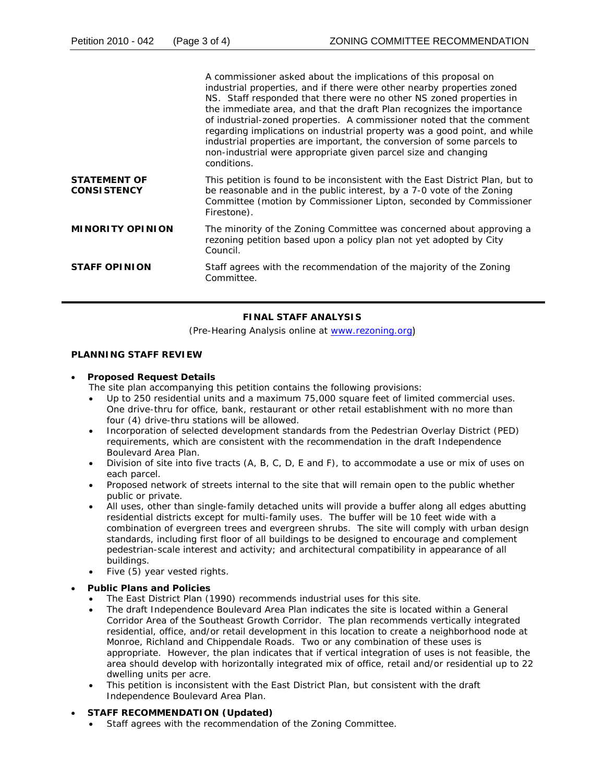|                                           | A commissioner asked about the implications of this proposal on<br>industrial properties, and if there were other nearby properties zoned<br>NS. Staff responded that there were no other NS zoned properties in<br>the immediate area, and that the draft Plan recognizes the importance<br>of industrial-zoned properties. A commissioner noted that the comment<br>regarding implications on industrial property was a good point, and while<br>industrial properties are important, the conversion of some parcels to<br>non-industrial were appropriate given parcel size and changing<br>conditions. |
|-------------------------------------------|------------------------------------------------------------------------------------------------------------------------------------------------------------------------------------------------------------------------------------------------------------------------------------------------------------------------------------------------------------------------------------------------------------------------------------------------------------------------------------------------------------------------------------------------------------------------------------------------------------|
| <b>STATEMENT OF</b><br><b>CONSISTENCY</b> | This petition is found to be inconsistent with the <i>East District Plan</i> , but to<br>be reasonable and in the public interest, by a 7-0 vote of the Zoning<br>Committee (motion by Commissioner Lipton, seconded by Commissioner<br>Firestone).                                                                                                                                                                                                                                                                                                                                                        |
| <b>MINORITY OPINION</b>                   | The minority of the Zoning Committee was concerned about approving a<br>rezoning petition based upon a policy plan not yet adopted by City<br>Council.                                                                                                                                                                                                                                                                                                                                                                                                                                                     |
| <b>STAFF OPINION</b>                      | Staff agrees with the recommendation of the majority of the Zoning<br>Committee.                                                                                                                                                                                                                                                                                                                                                                                                                                                                                                                           |

# **FINAL STAFF ANALYSIS**

(Pre-Hearing Analysis online at [www.rezoning.org](http://www.rezoning.org/))

## **PLANNING STAFF REVIEW**

## • **Proposed Request Details**

- The site plan accompanying this petition contains the following provisions:
- Up to 250 residential units and a maximum 75,000 square feet of limited commercial uses. One drive-thru for office, bank, restaurant or other retail establishment with no more than four (4) drive-thru stations will be allowed.
- Incorporation of selected development standards from the Pedestrian Overlay District (PED) requirements, which are consistent with the recommendation in the draft *Independence Boulevard Area Plan*.
- Division of site into five tracts  $(A, B, C, D, E, A)$  and F), to accommodate a use or mix of uses on each parcel.
- Proposed network of streets internal to the site that will remain open to the public whether public or private.
- All uses, other than single-family detached units will provide a buffer along all edges abutting residential districts except for multi-family uses. The buffer will be 10 feet wide with a combination of evergreen trees and evergreen shrubs. The site will comply with urban design pedestrian-scale interest and activity; and architectural compatibility in appearance of all standards, including first floor of all buildings to be designed to encourage and complement buildings.
- Five  $(5)$  year vested rights.

## **• Public Plans and Policies**

- The *East District Plan* (1990) recommends industrial uses for this site.
- The draft *Independence Boulevard Area Plan* indicates the site is located within a General Corridor Area of the Southeast Growth Corridor. The plan recommends vertically integrated residential, office, and/or retail development in this location to create a neighborhood node at Monroe, Richland and Chippendale Roads. Two or any combination of these uses is appropriate. However, the plan indicates that if vertical integration of uses is not feasible, the 2 area should develop with horizontally integrated mix of office, retail and/or residential up to 2 dwelling units per acre.
- This petition is inconsistent with the *East District Plan*, but consistent with the draft *Independence Boulevard Area Plan*.

# • **STAFF RECOMMENDATION (Updated)**

• Staff agrees with the recommendation of the Zoning Committee.